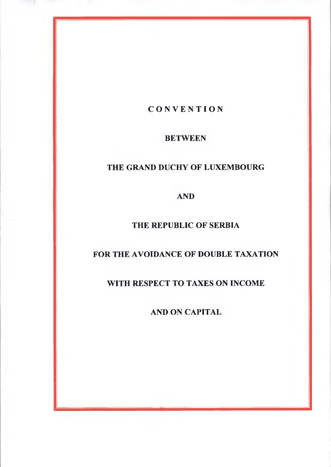# **CONVENTION**

# **BETWEEN**

# **THE GRAND DUCHY OF LUXEMBOURG**

**AND** 

**THE REPUBLIC OF SERBIA** 

# **FOR THE AVOIDANCE OF DOUBLE TAXATION**

# **WITH RESPECT TO TAXES ON INCOME**

**AND ON CAPITAL**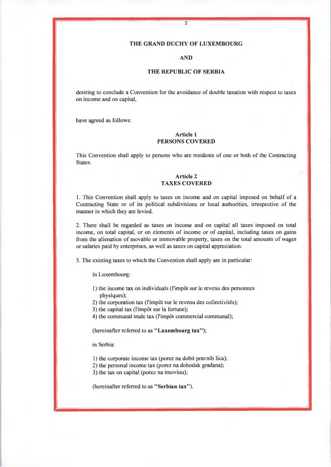#### **THE GRAND DUCHY OF LUXEMBOURG**

#### **AND**

#### **THE REPUBLIC OF SERBIA**

desiring to conclude a Convention for the avoidance of double taxation with respect to taxes on income and on capital,

have agreed as follows:

# **Article 1 PERSONS COVERED**

This Convention shall apply to persons who are residents of one or both of the Contracting States.

# **Article 2 TAXES COVERED**

1. This Convention shall apply to taxes on income and on capital imposed on behalf of a Contracting State or of its political subdivisions or local authorities, irrespective of the manner in which they are levied.

2. There shall be regarded as taxes on income and on capital all taxes imposed on total income, on total capital, or on elements of income or of capital, including taxes on gains from the alienation of movable or immovable property, taxes on the total amounts of wages or salaries paid by enterprises, as well as taxes on capital appreciation.

3. The existing taxes to which the Convention shall apply are in particular:

in Luxembourg:

1) the income tax on individuals (Pimpôt sur le revenu des personnes physiques);

2) the corporation tax (l'impôt sur le revenu des collectivités);

3) the capital tax (l'impôt sur la fortune);

4) the communal trade tax (l'impôt commercial communal);

(hereinafter referred to as "Luxembourg **tax");** 

in Serbia:

1) the corporate income tax (porez na dobit pravnih lica);

- 2) the personal income tax (porez na dohodak gradana);
- 3) the tax on capital (porez na imovinu);

(hereinafter referred to as "Serbian **tax").**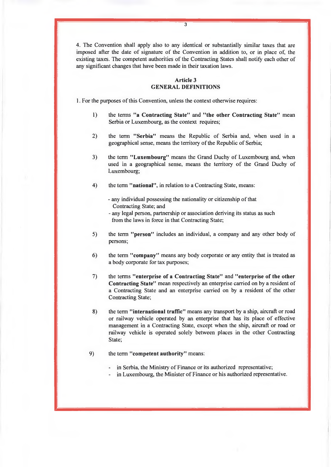4. The Convention shall apply also to any identical or substantially similar taxes that are imposed after the date of signature of the Convention in addition to, or in place of, the existing taxes. The competent authorities of the Contracting States shall notify each other of any significant changes that have been made in their taxation laws.

#### **Article 3 GENERAL DEFINITIONS**

1. For the purposes of this Convention, unless the context otherwise requires:

- 1) the terms "a **Contracting State"** and **"the other Contracting State"** mean Serbia or Luxembourg, as the context requires;
- 2) the term "Serbia" means the Republic of Serbia and, when used in a geographical sense, means the territory of the Republic of Serbia;
- 3) the term "Luxembourg" means the Grand Duchy of Luxembourg and, when used in a geographical sense, means the territory of the Grand Duchy of Luxembourg;
- 4) the term "national", in relation to a Contracting State, means:
	- any individual possessing the nationality or citizenship of that Contracting State; and
	- any legal person, partnership or association deriving its status as such from the laws in force in that Contracting State;
- 5) the term "person" includes an individual, a company and any other body of persons;
- 6) the term "company" means any body corporate or any entity that is treated as a body corporate for tax purposes;
- 7) the terms "enterprise **of a Contracting State"** and "enterprise **of the other Contracting State"** mean respectively an enterprise carried on by a resident of a Contracting State and an enterprise carried on by a resident of the other Contracting State;
- 8) the term **"international traffic"** means any transport by a ship, aircraft or road or railway vehicle operated by an enterprise that has its place of effective management in a Contracting State, except when the ship, aircraft or road or railway vehicle is operated solely between places in the other Contracting State;
- 9) the term "competent **authority"** means:
	- in Serbia, the Ministry of Finance or its authorized representative;
	- in Luxembourg, the Minister of Finance or his authorized representative.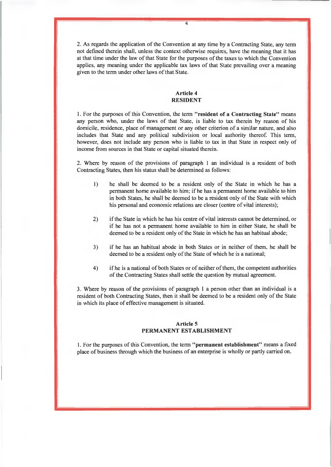2. As regards the application of the Convention at any time by a Contracting State, any term not defmed therein shall, unless the context otherwise requires, have the meaning that it has at that time under the law of that State for the purposes of the taxes to which the Convention applies, any meaning under the applicable tax laws of that State prevailing over a meaning given to the term under other laws of that State.

#### **Article 4 RESIDENT**

1. For the purposes of this Convention, the term **"resident of a Contracting State"** means any person who, under the laws of that State, is liable to tax therein by reason of his domicile, residence, place of management or any other criterion of a similar nature, and also includes that State and any political subdivision or local authority thereof. This term, however, does not include any person who is liable to tax in that State in respect only of income from sources in that State or capital situated therein.

2. Where by reason of the provisions of paragraph 1 an individual is a resident of both Contracting States, then his status shall be determined as follows:

- 1) he shall be deemed to be a resident only of the State in which he has a permanent home available to him; if he has a permanent home available to him in both States, he shall be deemed to be a resident only of the State with which his personal and economic relations are closer (centre of vital interests);
- 2) if the State in which he has his centre of vital interests cannot be determined, or if he has not a permanent home available to him in either State, he shall be deemed to be a resident only of the State in which he has an habitual abode;
- 3) if he has an habitual abode in both States or in neither of them, he shall be deemed to be a resident only of the State of which he is a national;
- 4) if he is a national of both States or of neither of them, the competent authorities of the Contracting States shall settle the question by mutual agreement.

3. Where by reason of the provisions of paragraph 1 a person other than an individual is a resident of both Contracting States, then it shall be deemed to be a resident only of the State in which its place of effective management is situated.

### **Article 5 PERMANENT ESTABLISHMENT**

1. For the purposes of this Convention, the term "permanent **establishment"** means a fixed place of business through which the business of an enterprise is wholly or partly carried on.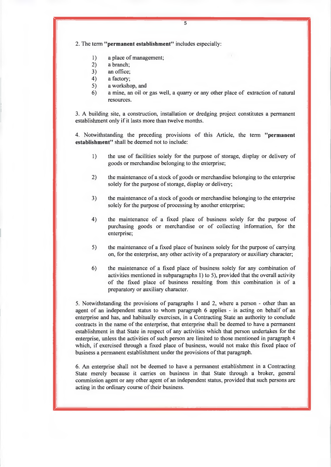2. The term "permanent **establishment"** includes especially:

- 1) a place of management;<br>2) a branch;
- a branch:
- 3) an office;<br>4) a factory;
- a factory;
- 5) a workshop, and<br>6) a mine, an oil or
- a mine, an oil or gas well, a quarry or any other place of extraction of natural resources.

3. A building site, a construction, installation or dredging project constitutes a permanent establishment only if it lasts more than twelve months.

4. Notwithstanding the preceding provisions of this Article, the term "permanent **establishment"** shall be deemed not to include:

- 1) the use of facilities solely for the purpose of storage, display or delivery of goods or merchandise belonging to the enterprise;
- 2) the maintenance of a stock of goods or merchandise belonging to the enterprise solely for the purpose of storage, display or delivery;
- 3) the maintenance of a stock of goods or merchandise belonging to the enterprise solely for the purpose of processing by another enterprise;
- 4) the maintenance of a fixed place of business solely for the purpose of purchasing goods or merchandise or of collecting information, for the enterprise;
- 5) the maintenance of a fixed place of business solely for the purpose of carrying on, for the enterprise, any other activity of a preparatory or auxiliary character;
- 6) the maintenance of a fixed place of business solely for any combination of activities mentioned in subparagraphs 1) to 5), provided that the overall activity of the fixed place of business resulting from this combination is of a preparatory or auxiliary character.

5. Notwithstanding the provisions of paragraphs 1 and 2, where a person - other than an agent of an independent status to whom paragraph 6 applies - is acting on behalf of an enterprise and has, and habitually exercises, in a Contracting State an authority to conclude contracts in the name of the enterprise, that enterprise shall be deemed to have a permanent establishment in that State in respect of any activities which that person undertakes for the enterprise, unless the activities of such person are limited to those mentioned in paragraph 4 which, if exercised through a fixed place of business, would not make this fixed place of business a permanent establishment under the provisions of that paragraph.

6. An enterprise shall not be deemed to have a permanent establishment in a Contracting State merely because it carries on business in that State through a broker, general cormnission agent or any other agent of an independent status, provided that such persons are acting in the ordinary course of their business.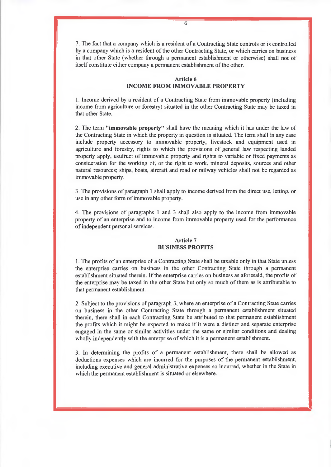7. The fact that a company which is a resident of a Contracting State controls or is controlled by a company which is a resident of the other Contracting State, or which carries on business in that other State (whether through a permanent establishment or otherwise) shall not of itself constitute either company a permanent establishment of the other.

## **Article 6 INCOME FROM IMMOVABLE PROPERTY**

1. Income derived by a resident of a Contracting State from immovable property (including income from agriculture or forestry) situated in the other Contracting State may be taxed in that other State.

2. The term **"immovable property"** shall have the meaning which it has under the law of the Contracting State in which the property in question is situated. The term shall in any case include property accessory to immovable property, livestock and equipment used in agriculture and forestry, rights to which the provisions of general law respecting landed property apply, usufruct of immovable property and rights to variable or fixed payments as consideration for the working of, or the right to work, mineral deposits, sources and other natural resources; ships, boats, aircraft and road or railway vehicles shall not be regarded as immovable property.

3. The provisions of paragraph **1** shall apply to income derived from the direct use, letting, or use in any other form of immovable property.

4. The provisions of paragraphs I and 3 shall also apply to the income from immovable property of an enterprise and to income from immovable property used for the performance of independent personal services.

#### **Article 7 BUSINESS PROFITS**

1. The profits of an enterprise of a Contracting State shall be taxable only in that State unless the enterprise carries on business in the other Contracting State through a permanent establishment situated therein. If the enterprise carries on business as aforesaid, the profits of the enterprise may be taxed in the other State but only so much of them as is attributable to that permanent establishment.

2. Subject to the provisions of paragraph 3, where an enterprise of a Contracting State carries on business in the other Contracting State through a permanent establishment situated therein, there shall in each Contracting State be attributed to that permanent establishment the profits which it might be expected to make if it were a distinct and separate enterprise engaged in the same or similar activities under the same or similar conditions and dealing wholly independently with the enterprise of which it is a permanent establishment.

3. In determining the profits of a permanent establishment, there shall be allowed as deductions expenses which are incurred for the purposes of the permanent establishment, including executive and general administrative expenses so incurred, whether in the State in which the permanent establishment is situated or elsewhere.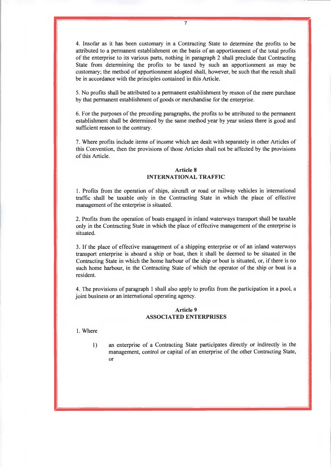4. Insofar as it has been customary in a Contracting State to determine the profits to be attributed to a permanent establishment on the basis of an apportionment of the total profits of the enterprise to its various parts, nothing in paragraph 2 shall preclude that Contracting State from determining the profits to be taxed by such an apportionment as may be customary; the method of apportionment adopted shall, however, be such that the result shall be in accordance with the principles contained in this Article.

5. No profits shall be attributed to a permanent establishment by reason of the mere purchase by that permanent establishment of goods or merchandise for the enterprise.

6. For the purposes of the preceding paragraphs, the profits to be attributed to the permanent establishment shall be determined by the same method year by year unless there is good and sufficient reason to the contrary.

7. Where profits include items of income which are dealt with separately in other Articles of this Convention, then the provisions of those Articles shall not be affected by the provisions of this Article.

#### **Article 8 INTERNATIONAL TRAFFIC**

1. Profits from the operation of ships, aircraft or road or railway vehicles in international traffic shall be taxable only in the Contracting State in which the place of effective management of the enterprise is situated.

2. Profits from the operation of boats engaged in inland waterways transport shall be taxable only in the Contracting State in which the place of effective management of the enterprise is situated.

3. If the place of effective management of a shipping enterprise or of an inland waterways transport enterprise is aboard a ship or boat, then it shall be deemed to be situated in the Contracting State in which the home harbour of the ship or boat is situated, or, if there is no such home harbour, in the Contracting State of which the operator of the ship or boat is a resident.

4. The provisions of paragraph 1 shall also apply to profits from the participation in a pool, a joint business or an international operating agency.

# **Article 9 ASSOCIATED ENTERPRISES**

1. Where

1) an enterprise of a Contracting State participates directly or indirectly in the management, control or capital of an enterprise of the other Contracting State, or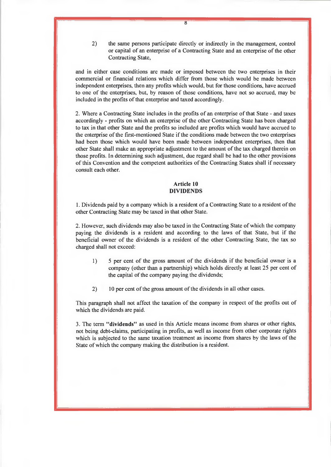2) the same persons participate directly or indirectly in the management, control or capital of an enterprise of a Contracting State and an enterprise of the other Contracting State,

and in either case conditions are made or imposed between the two enterprises in their commercial or financial relations which differ from those which would be made between independent enterprises, then any profits which would, but for those conditions, have accrued to one of the enterprises, but, by reason of those conditions, have not so accrued, may be included in the profits of that enterprise and taxed accordingly.

2. Where a Contracting State includes in the profits of an enterprise of that State - and taxes accordingly - profits on which an enterprise of the other Contracting State has been charged to tax in that other State and the profits so included are profits which would have accrued to the enterprise of the first-mentioned State if the conditions made between the two enterprises had been those which would have been made between independent enterprises, then that other State shall make an appropriate adjustment to the amount of the tax charged therein on those profits. In determining such adjustment, due regard shall be had to the other provisions of this Convention and the competent authorities of the Contracting States shall if necessary consult each other.

# **Article 10 DIVIDENDS**

1. Dividends paid by a company which is a resident of a Contracting State to a resident of the other Contracting State may be taxed in that other State.

2. However, such dividends may also be taxed in the Contracting State of which the company paying the dividends is a resident and according to the laws of that State, but if the beneficial owner of the dividends is a resident of the other Contracting State, the tax so charged shall not exceed:

- 1) 5 per cent of the gross amount of the dividends if the beneficial owner is a company (other than a partnership) which holds directly at least 25 per cent of the capital of the company paying the dividends;
- 2) 10 per cent of the gross amount of the dividends in all other cases.

This paragraph shall not affect the taxation of the company in respect of the profits out of which the dividends are paid.

3. The term "dividends" as used in this Article means income from shares or other rights, not being debt-claims, participating in profits, as well as income from other corporate rights which is subjected to the same taxation treatment as income from shares by the laws of the State of which the company making the distribution is a resident.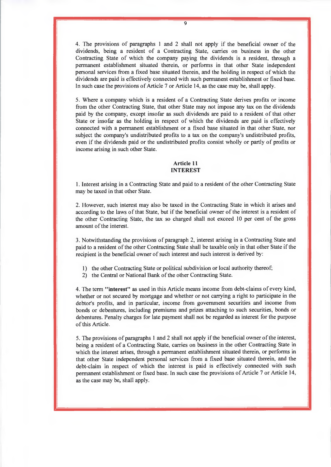4. The provisions of paragraphs 1 and 2 shall not apply if the beneficial owner of the dividends, being a resident of a Contracting State, carries on business in the other Contracting State of which the company paying the dividends is a resident, through a permanent establishment situated therein, or performs in that other State independent personal services from a fixed base situated therein, and the holding in respect of which the dividends are paid is effectively connected with such permanent establishment or fixed base. In such case the provisions of Article 7 or Article 14, as the case may be, shall apply.

5. Where a company which is a resident of a Contracting State derives profits or income from the other Contracting State, that other State may not impose any tax on the dividends paid by the company, except insofar as such dividends are paid to a resident of that other State or insofar as the holding in respect of which the dividends are paid is effectively connected with a permanent establishment or a fixed base situated in that other State, nor subject the company's undistributed profits to a tax on the company's undistributed profits, even if the dividends paid or the undistributed profits consist wholly or partly of profits or income arising in such other State.

#### **Article 11 INTEREST**

1. Interest arising in a Contracting State and paid to a resident of the other Contracting State may be taxed in that other State.

2. However, such interest may also be taxed in the Contracting State in which it arises and according to the laws of that State, but if the beneficial owner of the interest is a resident of the other Contracting State, the tax so charged shall not exceed 10 per cent of the gross amount of the interest.

3. Notwithstanding the provisions of paragraph 2, interest arising in a Contracting State and paid to a resident of the other Contracting State shall be taxable only in that other State if the recipient is the beneficial owner of such interest and such interest is derived by:

- 1) the other Contracting State or political subdivision or local authority thereof;
- 2) the Central or National Bank of the other Contracting State.

4. The term **"interest"** as used in this Article means income from debt-claims of every kind, whether or not secured by mortgage and whether or not carrying a right to participate in the debtor's profits, and in particular, income from government securities and income from bonds or debentures, including premiums and prizes attaching to such securities, bonds or debentures. Penalty charges for late payment shall not be regarded as interest for the purpose of this Article.

5. The provisions of paragraphs 1 and 2 shall not apply if the beneficial owner of the interest, being a resident of a Contracting State, carries on business in the other Contracting State in which the interest arises, through a permanent establishment situated therein, or performs in that other State independent personal services from a fixed base situated therein, and the debt-claim in respect of which the interest is paid is effectively connected with such permanent establishment or fixed base. In such case the provisions of Article 7 or Article 14, as the case may be, shall apply.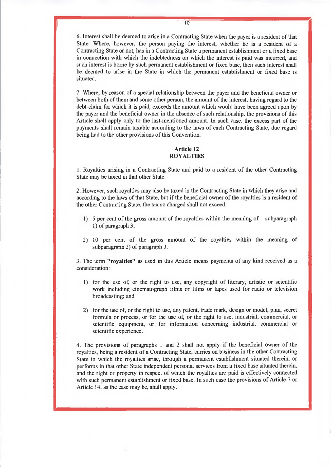6. Interest shall be deemed to arise in a Contracting State when the payer is a resident of that State. Where, however, the person paying the interest, whether he is a resident of a Contracting State or not, has in a Contracting State a permanent establishment or a fixed base in connection with which the indebtedness on which the interest is paid was incurred, and such interest is borne by such permanent establishment or fixed base, then such interest shall be deemed to arise in the State in which the permanent establishment or fixed base is situated.

7. Where, by reason of a special relationship between the payer and the beneficial owner or between both of them and some other person, the amount of the interest, having regard to the debt-claim for which it is paid, exceeds the amount which would have been agreed upon by the payer and the beneficial owner in the absence of such relationship, the provisions of this Article shall apply only to the last-mentioned amount. In such case, the excess part of the payments shall remain taxable according to the laws of each Contracting State, due regard being had to the other provisions of this Convention.

#### **Article 12 ROYALTIES**

1. Royalties arising in a Contracting State and paid to a resident of the other Contracting State may be taxed in that other State.

2. However, such royalties may also be taxed in the Contracting State in which they arise and according to the laws of that State, but if the beneficial owner of the royalties is a resident of the other Contracting State, the tax so charged shall not exceed:

- 1) 5 per cent of the gross amount of the royalties within the meaning of subparagraph 1) of paragraph 3;
- 2) 10 per cent of the gross amount of the royalties within the meaning of subparagraph 2) of paragraph 3.

3. The term **"royalties"** as used in this Article means payments of any kind received as a consideration:

- 1) for the use of, or the right to use, any copyright of literary, artistic or scientific work including cinematograph films or films or tapes used for radio or television broadcasting; and
- 2) for the use of, or the right to use, any patent, trade mark, design or model, plan, secret formula or process, or for the use of, or the right to use, industrial, commercial, or scientific equipment, or for information concerning industrial, commercial or scientific experience.

4. The provisions of paragraphs 1 and 2 shall not apply if the beneficial owner of the royalties, being a resident of a Contracting State, carries on business in the other Contracting State in which the royalties arise, through a permanent establishment situated therein, or performs in that other State independent personal services from a fixed base situated therein, and the right or property in respect of which the royalties are paid is effectively connected with such permanent establishment or fixed base. In such case the provisions of Article 7 or Article 14, as the case may be, shall apply.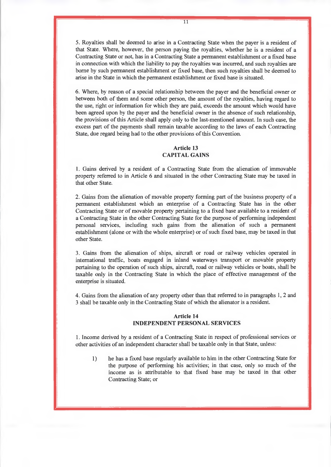5. Royalties shall be deemed to arise in a Contracting State when the payer is a resident of that State. Where, however, the person paying the royalties, whether he is a resident of a Contracting State or not, has in a Contracting State a permanent establishment or a fixed base in connection with which the liability to pay the royalties was incurred, and such royalties are borne by such permanent establishment or fixed base, then such royalties shall be deemed to arise in the State in which the permanent establishment or fixed base is situated.

6. Where, by reason of a special relationship between the payer and the beneficial owner or between both of them and some other person, the amount of the royalties, having regard to the use, right or information for which they are paid, exceeds the amount which would have been agreed upon by the payer and the beneficial owner in the absence of such relationship, the provisions of this Article shall apply only to the last-mentioned amount. In such case, the excess part of the payments shall remain taxable according to the laws of each Contracting State, due regard being had to the other provisions of this Convention.

#### **Article 13 CAPITAL GAINS**

1. Gains derived by a resident of a Contracting State from the alienation of immovable property referred to in Article 6 and situated in the other Contracting State may be taxed in that other State.

2. Gains from the alienation of movable property forming part of the business property of a permanent establishment which an enterprise of a Contracting State has in the other Contracting State or of movable property pertaining to a fixed base available to a resident of a Contracting State in the other Contracting State for the purpose of performing independent personal services, including such gains from the alienation of such a permanent establishment (alone or with the whole enterprise) or of such fixed base, may be taxed in that other State.

3. Gains from the alienation of ships, aircraft or road or railway vehicles operated in international traffic, boats engaged in inland waterways transport or movable property pertaining to the operation of such ships, aircraft, road or railway vehicles or boats, shall be taxable only in the Contracting State in which the place of effective management of the enterprise is situated.

4. Gains from the alienation of any property other than that referred to in paragraphs 1, 2 and 3 shall be taxable only in the Contracting State of which the alienator is a resident.

#### **Article 14 INDEPENDENT PERSONAL SERVICES**

1. Income derived by a resident of a Contracting State in respect of professional services or other activities of an independent character shall be taxable only in that State, unless:

1) he has a fixed base regularly available to him in the other Contracting State for the purpose of performing his activities; in that case, only so much of the income as is attributable to that fixed base may be taxed in that other Contracting State; or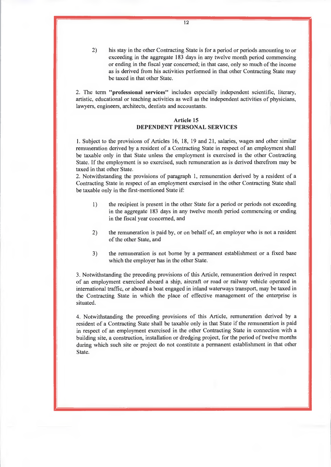2) his stay in the other Contracting State is for a period or periods amounting to or exceeding in the aggregate 183 days in any twelve month period commencing or ending in the fiscal year concerned; in that case, only so much of the income as is derived from his activities performed in that other Contracting State may be taxed in that other State.

2. The term "professional **services"** includes especially independent scientific, literary, artistic, educational or teaching activities as well as the independent activities of physicians, lawyers, engineers, architects, dentists and accountants.

## **Article 15 DEPENDENT PERSONAL SERVICES**

1. Subject to the provisions of Articles 16, 18, 19 and 21, salaries, wages and other similar remuneration derived by a resident of a Contracting State in respect of an employment shall be taxable only in that State unless the employment is exercised in the other Contracting State. If the employment is so exercised, such remuneration as is derived therefrom may be taxed in that other State.

2. Notwithstanding the provisions of paragraph 1, remuneration derived by a resident of a Contracting State in respect of an employment exercised in the other Contracting State shall be taxable only in the first-mentioned State if:

- 1) the recipient is present in the other State for a period or periods not exceeding in the aggregate 183 days in any twelve month period commencing or ending in the fiscal year concerned, and
- 2) the remuneration is paid by, or on behalf of, an employer who is not a resident of the other State, and
- 3) the remuneration is not borne by a permanent establishment or a fixed base which the employer has in the other State.

3. Notwithstanding the preceding provisions of this Article, remuneration derived in respect of an employment exercised aboard a ship, aircraft or road or railway vehicle operated in international traffic, or aboard a boat engaged in inland waterways transport, may be taxed in the Contracting State in which the place of effective management of the enterprise is situated.

4. Notwithstanding the preceding provisions of this Article, remuneration derived by a resident of a Contracting State shall be taxable only in that State if the remuneration is paid in respect of an employment exercised in the other Contracting State in connection with a building site, a construction, installation or dredging project, for the period of twelve months during which such site or project do not constitute a permanent establishment in that other State.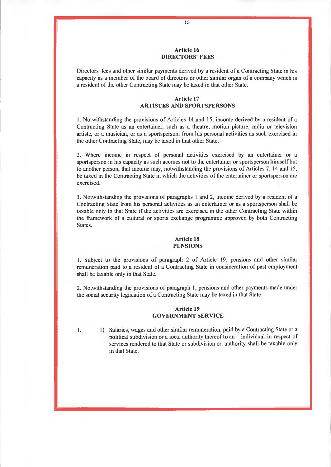#### **Article 16 DIRECTORS' FEES**

Directors' fees and other similar payments derived by a resident of a Contracting State in his capacity as a member of the board of directors or other similar organ of a company which is a resident of the other Contracting State may be taxed in that other State.

# **Article 17 ARTISTES AND SPORTSPERSONS**

1. Notwithstanding the provisions of Articles 14 and 15, income derived by a resident of a Contracting State as an entertainer, such as a theatre, motion picture, radio or television artiste, or a musician, or as a sportsperson, from his personal activities as such exercised in the other Contracting State, may be taxed in that other State.

2. Where income in respect of personal activities exercised by an entertainer or a sportsperson in his capacity as such accrues not to the entertainer or sportsperson himself but to another person, that income may, notwithstanding the provisions of Articles 7, 14 and 15, be taxed in the Contracting State in which the activities of the entertainer or sportsperson are exercised.

3. Notwithstanding the provisions of paragraphs 1 and 2, income derived by a resident of a Contracting State from his personal activities as an entertainer or as a sportsperson shall be taxable only in that State if the activities are exercised in the other Contracting State within the framework of a cultural or sports exchange programme approved by both Contracting States.

#### **Article 18 PENSIONS**

1. Subject to the provisions of paragraph 2 of Article 19, pensions and other similar remuneration paid to a resident of a Contracting State in consideration of past employment shall be taxable only in that State.

2. Notwithstanding the provisions of paragraph 1, pensions and other payments made under the social security legislation of a Contracting State may be taxed in that State.

### **Article 19 GOVERNMENT SERVICE**

1. 1) Salaries, wages and other similar remuneration, paid by a Contracting State or a political subdivision or a local authority thereof to an individual in respect of services rendered to that State or subdivision or authority shall be taxable only in that State.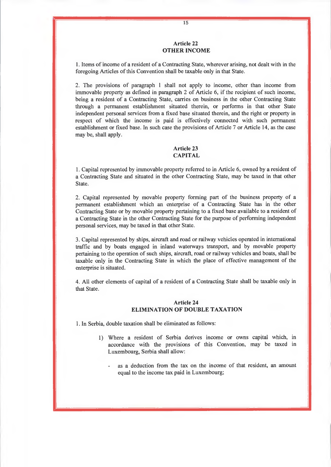## **Article 22 OTHER INCOME**

1. Items of income of a resident of a Contracting State, wherever arising, not dealt with in the foregoing Articles of this Convention shall be taxable only in that State.

2. The provisions of paragraph 1 shall not apply to income, other than income from immovable property as defined in paragraph 2 of Article 6, if the recipient of such income, being a resident of a Contracting State, carries on business in the other Contracting State through a permanent establishment situated therein, or performs in that other State independent personal services from a fixed base situated therein, and the right or property in respect of which the income is paid is effectively connected with such permanent establishment or fixed base. In such case the provisions of Article 7 or Article 14, as the case may be, shall apply.

#### **Article 23 CAPITAL**

1. Capital represented by immovable property referred to in Article 6, owned by a resident of a Contracting State and situated in the other Contracting State, may be taxed in that other State.

2. Capital represented by movable property forming part of the business property of a permanent establishment which an enterprise of a Contracting State has in the other Contracting State or by movable property pertaining to a fixed base available to a resident of a Contracting State in the other Contracting State for the purpose of performing independent personal services, may be taxed in that other State.

3. Capital represented by ships, aircraft and road or railway vehicles operated in international traffic and by boats engaged in inland waterways transport, and by movable property pertaining to the operation of such ships, aircraft, road or railway vehicles and boats, shall be taxable only in the Contracting State in which the place of effective management of the enterprise is situated.

4. All other elements of capital of a resident of a Contracting State shall be taxable only in that State.

# **Article 24 ELIMINATION OF DOUBLE TAXATION**

1. In Serbia, double taxation shall be eliminated as follows:

- 1) Where a resident of Serbia derives income or owns capital which, in accordance with the provisions of this Convention, may be taxed in Luxembourg, Serbia shall allow:
	- as a deduction from the tax on the income of that resident, an amount equal to the income tax paid in Luxembourg;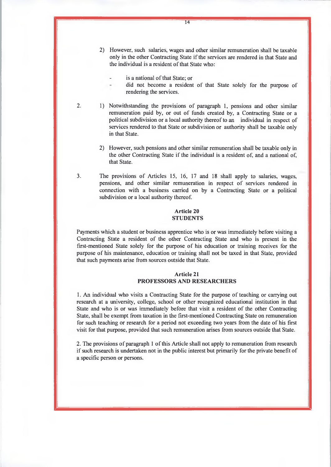- 2) However, such salaries, wages and other similar remuneration shall be taxable only in the other Contracting State if the services are rendered in that State and the individual is a resident of that State who:
	- is a national of that State; or
	- did not become a resident of that State solely for the purpose of rendering the services.
- 2. 1) Notwithstanding the provisions of paragraph 1, pensions and other similar remuneration paid by, or out of funds created by, a Contracting State or a political subdivision or a local authority thereof to an individual in respect of services rendered to that State or subdivision or authority shall be taxable only in that State.
	- 2) However, such pensions and other similar remuneration shall be taxable only in the other Contracting State if the individual is a resident of, and a national of, that State.
- 3. The provisions of Articles 15, 16, 17 and 18 shall apply to salaries, wages, pensions, and other similar remuneration in respect of services rendered in connection with a business carried on by a Contracting State or a political subdivision or a local authority thereof.

#### **Article 20 STUDENTS**

Payments which a student or business apprentice who is or was immediately before visiting a Contracting State a resident of the other Contracting State and who is present in the first-mentioned State solely for the purpose of his education or training receives for the purpose of his maintenance, education or training shall not be taxed in that State, provided that such payments arise from sources outside that State.

## **Article 21 PROFESSORS AND RESEARCHERS**

1. An individual who visits a Contracting State for the purpose of teaching or canying out research at a university, college, school or other recognized educational institution in that State and who is or was immediately before that visit a resident of the other Contracting State, shall be exempt from taxation in the first-mentioned Contracting State on remuneration for such teaching or research for a period not exceeding two years from the date of his first visit for that purpose, provided that such remuneration arises from sources outside that State.

2. The provisions of paragraph 1 of this Article shall not apply to remuneration from research if such research is undertaken not in the public interest but primarily for the private benefit of a specific person or persons.

14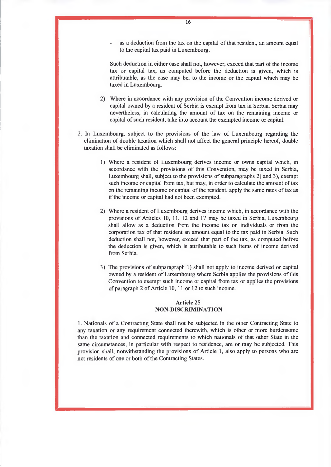as a deduction from the tax on the capital of that resident, an amount equal to the capital tax paid in Luxembourg.

Such deduction in either case shall not, however, exceed that part of the income tax or capital tax, as computed before the deduction is given, which is attributable, as the case may be, to the income or the capital which may be taxed in Luxembourg.

- 2) Where in accordance with any provision of the Convention income derived or capital owned by a resident of Serbia is exempt from tax in Serbia, Serbia may nevertheless, in calculating the amount of tax on the remaining income or capital of such resident, take into account the exempted income or capital.
- 2. In Luxembourg, subject to the provisions of the law of Luxembourg regarding the elimination of double taxation which shall not affect the general principle hereof, double taxation shall be eliminated as follows:
	- 1) Where a resident of Luxembourg derives income or owns capital which, in accordance with the provisions of this Convention, may be taxed in Serbia, Luxembourg shall, subject to the provisions of subparagraphs 2) and 3), exempt such income or capital from tax, but may, in order to calculate the amount of tax on the remaining income or capital of the resident, apply the same rates of tax as if the income or capital had not been exempted.
	- 2) Where a resident of Luxembourg derives income which, in accordance with the provisions of Articles 10, 11, 12 and 17 may be taxed in Serbia, Luxembourg shall allow as a deduction from the income tax on individuals or from the corporation tax of that resident an amount equal to the tax paid in Serbia. Such deduction shall not, however, exceed that part of the tax, as computed before the deduction is given, which is attributable to such items of income derived from Serbia.
	- 3) The provisions of subparagraph 1) shall not apply to income derived or capital owned by a resident of Luxembourg where Serbia applies the provisions of this Convention to exempt such income or capital from tax or applies the provisions of paragraph 2 of Article 10, 11 or 12 to such income.

# **Article 25 NON-DISCRIMINATION**

1. Nationals of a Contracting State shall not be subjected in the other Contracting State to any taxation or any requirement connected therewith, which is other or more burdensome than the taxation and connected requirements to which nationals of that other State in the same circumstances, in particular with respect to residence, are or may be subjected. This provision shall, notwithstanding the provisions of Article 1, also apply to persons who are not residents of one or both of the Contracting States.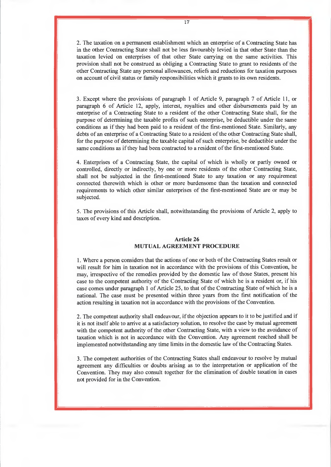2. The taxation on a permanent establishment which an enterprise of a Contracting State has in the other Contracting State shall not be less favourably levied in that other State than the taxation levied on enterprises of that other State carrying on the same activities. This provision shall not be construed as obliging a Contracting State to grant to residents of the other Contracting State any personal allowances, reliefs and reductions for taxation purposes on account of civil status or family responsibilities which it grants to its own residents.

3. Except where the provisions of paragraph 1 of Article 9, paragraph 7 of Article 11, or paragraph 6 of Article 12, apply, interest, royalties and other disbursements paid by an enterprise of a Contracting State to a resident of the other Contracting State shall, for the purpose of determining the taxable profits of such enterprise, be deductible under the same conditions as if they had been paid to a resident of the first-mentioned State. Similarly, any debts of an enterprise of a Contracting State to a resident of the other Contracting State shall, for the purpose of deterrnining the taxable capital of such enterprise, be deductible under the same conditions as if they had been contracted to a resident of the first-mentioned State.

4. Enterprises of a Contracting State, the capital of which is wholly or partly owned or controlled, directly or indirectly, by one or more residents of the other Contracting State, shall not be subjected in the first-mentioned State to any taxation or any requirement connected therewith which is other or more burdensome than the taxation and connected requirements to which other similar enterprises of the first-mentioned State are or may be subjected.

5. The provisions of this Article shall, notwithstanding the provisions of Article 2, apply to taxes of every kind and description.

## **Article 26 MUTUAL AGREEMENT PROCEDURE**

1. Where a person considers that the actions of one or both of the Contracting States result or will result for him in taxation not in accordance with the provisions of this Convention, he may, irrespective of the remedies provided by the domestic law of those States, present his case to the competent authority of the Contracting State of which he is a resident or, if his case comes under paragraph 1 of Article 25, to that of the Contracting State of which he is a national. The case must be presented within three years from the first notification of the action resulting in taxation not in accordance with the provisions of the Convention.

2. The competent authority shall endeavour, if the objection appears to it to be justified and if it is not itself able to arrive at a satisfactory solution, to resolve the case by mutual agreement with the competent authority of the other Contracting State, with a view to the avoidance of taxation which is not in accordance with the Convention. Any agreement reached shall be implemented notwithstanding any time limits in the domestic law of the Contracting States.

3. The competent authorities of the Contracting States shall endeavour to resolve by mutual agreement any difficulties or doubts arising as to the interpretation or application of the Convention. They may also consult together for the elimination of double taxation in cases not provided for in the Convention.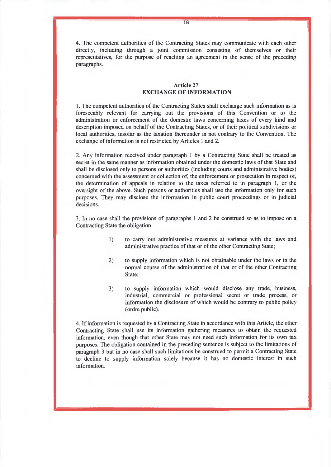4. The competent authorities of the Contracting States may communicate with each other directly, including through a joint commission consisting of themselves or their representatives, for the purpose of reaching an agreement in the sense of the preceding paragraphs.

#### **Article 27 EXCHANGE OF INFORMATION**

1. The competent authorities of the Contracting States shall exchange such information as is foreseeably relevant for carrying out the provisions of this Convention or to the administration or enforcement of the domestic laws concerning taxes of every kind and description imposed on behalf of the Contracting States, or of their political subdivisions or local authorities, insofar as the taxation thereunder is not contrary to the Convention. The exchange of information is not restricted by Articles 1 and 2.

2. Any information received under paragraph 1 by a Contracting State shall be treated as secret in the same manner as information obtained under the domestic laws of that State and shall be disclosed only to persons or authorities (including courts and administrative bodies) concerned with the assessment or collection of, the enforcement or prosecution in respect of, the determination of appeals in relation to the taxes referred to in paragraph 1, or the oversight of the above. Such persons or authorities shall use the information only for such purposes. They may disclose the information in public court proceedings or in judicial decisions.

3. In no case shall the provisions of paragraphs 1 and 2 be construed so as to impose on a Contracting State the obligation:

- 1) to carry out administrative measures at variance with the laws and administrative practice of that or of the other Contracting State;
- 2) to supply information which is not obtainable under the laws or in the normal course of the administration of that or of the other Contracting State;
- 3) to supply information which would disclose any trade, business, industrial, commercial or professional secret or trade process, or information the disclosure of which would be contrary to public policy (ordre public).

4. If information is requested by a Contracting State in accordance with this Article, the other Contracting State shall use its information gathering measures to obtain the requested information, even though that other State may not need such information for its own tax purposes. The obligation contained in the preceding sentence is subject to the limitations of paragraph 3 but in no case shall such limitations be construed to permit a Contracting State to decline to supply information solely because it has no domestic interest in such information.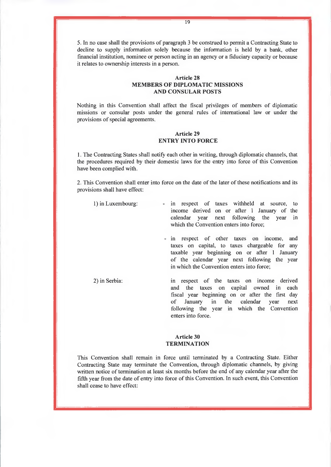5. In no case shall the provisions of paragraph 3 be construed to permit a Contracting State to decline to supply information solely because the information is held by a bank, other financial institution, nominee or person acting in an agency or a fiduciary capacity or because it relates to ownership interests in a person.

#### **Article 28 MEMBERS OF DIPLOMATIC MISSIONS AND CONSULAR POSTS**

Nothing in this Convention shall affect the fiscal privileges of members of diplomatic missions or consular posts under the general rules of international law or under the provisions of special agreements.

#### **Article 29 ENTRY INTO FORCE**

1. The Contracting States shall notify each other in writing, through diplomatic channels, that the procedures required by their domestic laws for the entry into force of this Convention have been complied with.

2. This Convention shall enter into force on the date of the later of these notifications and its provisions shall have effect:

| 1) in Luxembourg: |                                         |  |  | - in respect of taxes withheld at source, to |  |  |  |
|-------------------|-----------------------------------------|--|--|----------------------------------------------|--|--|--|
|                   |                                         |  |  | income derived on or after 1 January of the  |  |  |  |
|                   |                                         |  |  | calendar year next following the year in     |  |  |  |
|                   | which the Convention enters into force; |  |  |                                              |  |  |  |
|                   |                                         |  |  |                                              |  |  |  |

- in respect of other taxes on income, and taxes on capital, to taxes chargeable for any taxable year beginning on or after 1 January of the calendar year next following the year in which the Convention enters into force;

in respect of the taxes on income derived and the taxes on capital owned in each fiscal year beginning on or after the first day of January in the calendar year next following the year in which the Convention enters into force.

## **Article 30 TERMINATION**

2) in Serbia:

This Convention shall remain in force until terminated by a Contracting State. Either Contracting State may terminate the Convention, through diplomatic channels, by giving written notice of termination at least six months before the end of any calendar year after the fifth year from the date of entry into force of this Convention. In such event, this Convention shall cease to have effect: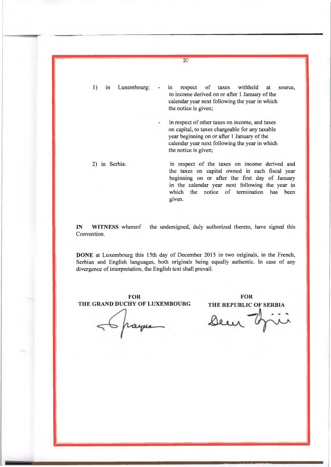1) in Luxembourg: - in respect of taxes withheld at source, to income derived on or after 1 January of the calendar year next following the year in which the notice is given; in respect of other taxes on income, and taxes on capital, to taxes chargeable for any taxable year beginning on or after 1 January of the calendar year next following the year in which the notice is given; 2) in Serbia: in respect of the taxes on income derived and the taxes on capital owned in each fiscal year

IN WITNESS whereof the undersigned, duly authorized thereto, have signed this Convention.

given.

DONE at Luxembourg this 15th day of December 2015 in two originals, in the French, Serbian and English languages, both originals being equally authentic. In case of any divergence of interpretation, the English text shall prevail.

FOR THE GRAND DUCHY OF LUXEMBOURG

FOR THE REPUBLIC OF SERBIA

beginning on or after the first day of January in the calendar year next following the year in which the notice of termination has been

,. .. ... Dew

20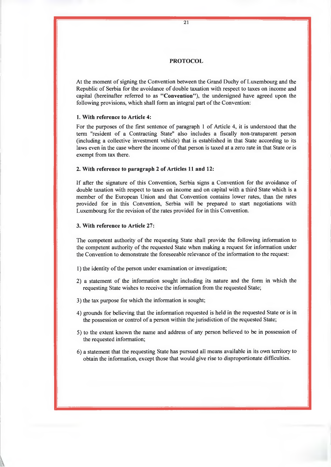#### **PROTOCOL**

At the moment of signing the Convention between the Grand Duchy of Luxembourg and the Republic of Serbia for the avoidance of double taxation with respect to taxes on income and capital (hereinafter referred to as "Convention"), the undersigned have agreed upon the following provisions, which shall form an integral part of the Convention:

# **1. With reference to Article 4:**

For the purposes of the first sentence of paragraph 1 of Article 4, it is understood that the term "resident of a Contracting State" also includes a fiscally non-transparent person (including a collective investment vehicle) that is established in that State according to its laws even in the case where the income of that person is taxed at a zero rate in that State or is exempt from tax there.

#### **2. With reference to paragraph 2 of Articles 11 and 12:**

If after the signature of this Convention, Serbia signs a Convention for the avoidance of double taxation with respect to taxes on income and on capital with a third State which is a member of the European Union and that Convention contains lower rates, than the rates provided for in this Convention, Serbia will be prepared to start negotiations with Luxembourg for the revision of the rates provided for in this Convention.

#### **3. With reference to Article** 27:

The competent authority of the requesting State shall provide the following information to the competent authority of the requested State when making a request for information under the Convention to demonstrate the foreseeable relevance of the information to the request:

- I) the identity of the person under examination or investigation;
- 2) a statement of the information sought including its nature and the form in which the requesting State wishes to receive the information from the requested State;
- 3) the tax purpose for which the information is sought;
- 4) grounds for believing that the information requested is held in the requested State or is in the possession or control of a person within the jurisdiction of the requested State;
- 5) to the extent known the name and address of any person believed to be in possession of the requested information;
- 6) a statement that the requesting State has pursued all means available in its own territory to obtain the information, except those that would give rise to disproportionate difficulties.